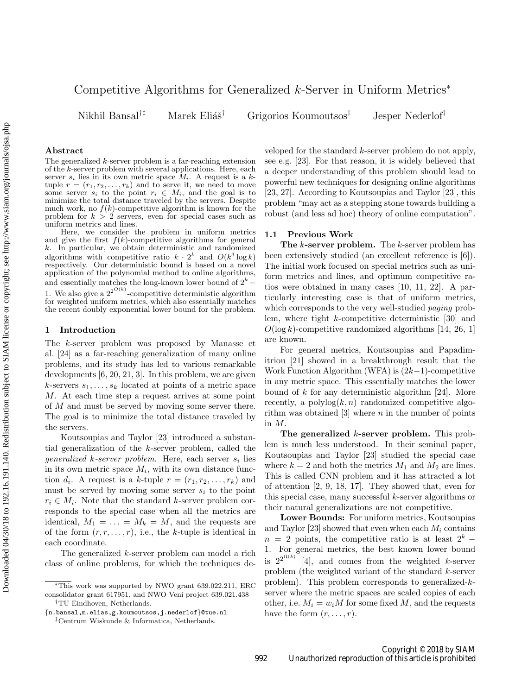# Competitive Algorithms for Generalized k-Server in Uniform Metrics<sup>∗</sup>

Nikhil Bansal<sup>†‡</sup> Marek Eliáš<sup>†</sup> Grigorios Koumoutsos<sup>†</sup> Jesper Nederlof<sup>†</sup>

## Abstract

The generalized k-server problem is a far-reaching extension of the k-server problem with several applications. Here, each server  $s_i$  lies in its own metric space  $M_i$ . A request is a ktuple  $r = (r_1, r_2, \ldots, r_k)$  and to serve it, we need to move some server  $s_i$  to the point  $r_i \in M_i$ , and the goal is to minimize the total distance traveled by the servers. Despite much work, no  $f(k)$ -competitive algorithm is known for the problem for  $k > 2$  servers, even for special cases such as uniform metrics and lines.

Here, we consider the problem in uniform metrics and give the first  $f(k)$ -competitive algorithms for general k. In particular, we obtain deterministic and randomized algorithms with competitive ratio  $k \cdot 2^k$  and  $O(k^3 \log k)$ respectively. Our deterministic bound is based on a novel application of the polynomial method to online algorithms, and essentially matches the long-known lower bound of  $2^k$  – 1. We also give a  $2^{2^{O(k)}}$ -competitive deterministic algorithm for weighted uniform metrics, which also essentially matches the recent doubly exponential lower bound for the problem.

## 1 Introduction

The k-server problem was proposed by Manasse et al. [\[24\]](#page-9-0) as a far-reaching generalization of many online problems, and its study has led to various remarkable developments [\[6,](#page-8-0) [20,](#page-8-1) [21,](#page-8-2) [3\]](#page-8-3). In this problem, we are given k-servers  $s_1, \ldots, s_k$  located at points of a metric space M. At each time step a request arrives at some point of M and must be served by moving some server there. The goal is to minimize the total distance traveled by the servers.

Koutsoupias and Taylor [\[23\]](#page-9-1) introduced a substantial generalization of the k-server problem, called the generalized  $k$ -server problem. Here, each server  $s_i$  lies in its own metric space  $M_i$ , with its own distance function  $d_i$ . A request is a k-tuple  $r = (r_1, r_2, \ldots, r_k)$  and must be served by moving some server  $s_i$  to the point  $r_i \in M_i$ . Note that the standard k-server problem corresponds to the special case when all the metrics are identical,  $M_1 = \ldots = M_k = M$ , and the requests are of the form  $(r, r, \ldots, r)$ , i.e., the k-tuple is identical in each coordinate.

The generalized k-server problem can model a rich class of online problems, for which the techniques developed for the standard k-server problem do not apply, see e.g. [\[23\]](#page-9-1). For that reason, it is widely believed that a deeper understanding of this problem should lead to powerful new techniques for designing online algorithms [\[23,](#page-9-1) [27\]](#page-9-2). According to Koutsoupias and Taylor [\[23\]](#page-9-1), this problem "may act as a stepping stone towards building a robust (and less ad hoc) theory of online computation".

### 1.1 Previous Work

The  $k$ -server problem. The  $k$ -server problem has been extensively studied (an excellent reference is [\[6\]](#page-8-0)). The initial work focused on special metrics such as uniform metrics and lines, and optimum competitive ratios were obtained in many cases [\[10,](#page-8-4) [11,](#page-8-5) [22\]](#page-8-6). A particularly interesting case is that of uniform metrics, which corresponds to the very well-studied *paging* problem, where tight k-competitive deterministic [\[30\]](#page-9-3) and  $O(\log k)$ -competitive randomized algorithms [\[14,](#page-8-7) [26,](#page-9-4) [1\]](#page-8-8) are known.

For general metrics, Koutsoupias and Papadimitriou [\[21\]](#page-8-2) showed in a breakthrough result that the Work Function Algorithm (WFA) is (2k−1)-competitive in any metric space. This essentially matches the lower bound of  $k$  for any deterministic algorithm [\[24\]](#page-9-0). More recently, a  $\text{polylog}(k, n)$  randomized competitive algorithm was obtained  $[3]$  where n in the number of points in M.

The generalized k-server problem. This problem is much less understood. In their seminal paper, Koutsoupias and Taylor [\[23\]](#page-9-1) studied the special case where  $k = 2$  and both the metrics  $M_1$  and  $M_2$  are lines. This is called CNN problem and it has attracted a lot of attention [\[2,](#page-8-9) [9,](#page-8-10) [18,](#page-8-11) [17\]](#page-8-12). They showed that, even for this special case, many successful k-server algorithms or their natural generalizations are not competitive.

Lower Bounds: For uniform metrics, Koutsoupias and Taylor [\[23\]](#page-9-1) showed that even when each  $M_i$  contains  $n = 2$  points, the competitive ratio is at least  $2<sup>k</sup>$  − 1. For general metrics, the best known lower bound is  $2^{2^{\Omega(k)}}$  [\[4\]](#page-8-13), and comes from the weighted k-server problem (the weighted variant of the standard k-server problem). This problem corresponds to generalized-kserver where the metric spaces are scaled copies of each other, i.e.  $M_i = w_i M$  for some fixed M, and the requests have the form  $(r, \ldots, r)$ .

<sup>∗</sup>This work was supported by NWO grant 639.022.211, ERC consolidator grant 617951, and NWO Veni project 639.021.438

<sup>†</sup>TU Eindhoven, Netherlands. . {n.bansal,m.elias,g.koumoutsos,j.nederlof}@tue.nl

<sup>‡</sup>Centrum Wiskunde & Informatica, Netherlands.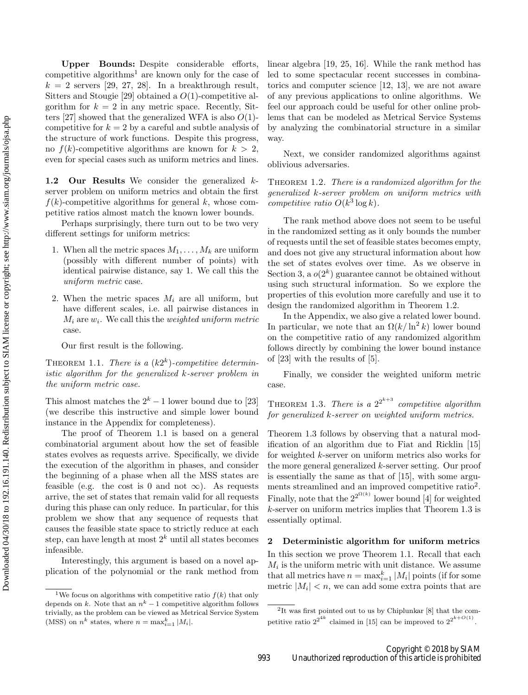Upper Bounds: Despite considerable efforts, competitive algorithms<sup>[1](#page-1-0)</sup> are known only for the case of  $k = 2$  servers [\[29,](#page-9-5) [27,](#page-9-6) [28\]](#page-9-7). In a breakthrough result, Sitters and Stougie [\[29\]](#page-9-5) obtained a  $O(1)$ -competitive algorithm for  $k = 2$  in any metric space. Recently, Sit-ters [\[27\]](#page-9-6) showed that the generalized WFA is also  $O(1)$ competitive for  $k = 2$  by a careful and subtle analysis of the structure of work functions. Despite this progress, no  $f(k)$ -competitive algorithms are known for  $k > 2$ , even for special cases such as uniform metrics and lines.

1.2 Our Results We consider the generalized kserver problem on uniform metrics and obtain the first  $f(k)$ -competitive algorithms for general k, whose competitive ratios almost match the known lower bounds.

Perhaps surprisingly, there turn out to be two very different settings for uniform metrics:

- 1. When all the metric spaces  $M_1, \ldots, M_k$  are uniform (possibly with different number of points) with identical pairwise distance, say 1. We call this the uniform metric case.
- 2. When the metric spaces  $M_i$  are all uniform, but have different scales, i.e. all pairwise distances in  $M_i$  are  $w_i$ . We call this the *weighted uniform metric* case.

Our first result is the following.

<span id="page-1-1"></span>THEOREM 1.1. There is a  $(k2<sup>k</sup>)$ -competitive deterministic algorithm for the generalized k-server problem in the uniform metric case.

This almost matches the  $2<sup>k</sup> - 1$  lower bound due to [\[23\]](#page-9-8) (we describe this instructive and simple lower bound instance in the Appendix for completeness).

The proof of Theorem [1.1](#page-1-1) is based on a general combinatorial argument about how the set of feasible states evolves as requests arrive. Specifically, we divide the execution of the algorithm in phases, and consider the beginning of a phase when all the MSS states are feasible (e.g. the cost is 0 and not  $\infty$ ). As requests arrive, the set of states that remain valid for all requests during this phase can only reduce. In particular, for this problem we show that any sequence of requests that causes the feasible state space to strictly reduce at each step, can have length at most  $2^k$  until all states becomes infeasible.

Interestingly, this argument is based on a novel application of the polynomial or the rank method from linear algebra [\[19,](#page-8-14) [25,](#page-9-9) [16\]](#page-8-15). While the rank method has led to some spectacular recent successes in combinatorics and computer science [\[12,](#page-8-16) [13\]](#page-8-17), we are not aware of any previous applications to online algorithms. We feel our approach could be useful for other online problems that can be modeled as Metrical Service Systems by analyzing the combinatorial structure in a similar way.

<span id="page-1-2"></span>Next, we consider randomized algorithms against oblivious adversaries.

THEOREM 1.2. There is a randomized algorithm for the generalized k-server problem on uniform metrics with competitive ratio  $O(k^3 \log k)$ .

The rank method above does not seem to be useful in the randomized setting as it only bounds the number of requests until the set of feasible states becomes empty, and does not give any structural information about how the set of states evolves over time. As we observe in Section [3,](#page-3-0) a  $o(2^k)$  guarantee cannot be obtained without using such structural information. So we explore the properties of this evolution more carefully and use it to design the randomized algorithm in Theorem [1.2.](#page-1-2)

In the Appendix, we also give a related lower bound. In particular, we note that an  $\Omega(k/\ln^2 k)$  lower bound on the competitive ratio of any randomized algorithm follows directly by combining the lower bound instance of [\[23\]](#page-9-8) with the results of [\[5\]](#page-8-18).

Finally, we consider the weighted uniform metric case.

<span id="page-1-3"></span>THEOREM 1.3. There is a  $2^{2^{k+3}}$  competitive algorithm for generalized k-server on weighted uniform metrics.

Theorem [1.3](#page-1-3) follows by observing that a natural modification of an algorithm due to Fiat and Ricklin [\[15\]](#page-8-19) for weighted k-server on uniform metrics also works for the more general generalized k-server setting. Our proof is essentially the same as that of [\[15\]](#page-8-19), with some argu-ments streamlined and an improved competitive ratio<sup>[2](#page-1-4)</sup>. Finally, note that the  $2^{2^{\Omega(k)}}$  lower bound [\[4\]](#page-8-20) for weighted k-server on uniform metrics implies that Theorem [1.3](#page-1-3) is essentially optimal.

## <span id="page-1-5"></span>2 Deterministic algorithm for uniform metrics

In this section we prove Theorem [1.1.](#page-1-1) Recall that each  $M_i$  is the uniform metric with unit distance. We assume that all metrics have  $n = \max_{i=1}^k |M_i|$  points (if for some metric  $|M_i| < n$ , we can add some extra points that are

<span id="page-1-0"></span><sup>&</sup>lt;sup>1</sup>We focus on algorithms with competitive ratio  $f(k)$  that only depends on k. Note that an  $n^k-1$  competitive algorithm follows trivially, as the problem can be viewed as Metrical Service System (MSS) on  $n^k$  states, where  $n = \max_{i=1}^k |M_i|$ .

<span id="page-1-4"></span><sup>2</sup> It was first pointed out to us by Chiplunkar [\[8\]](#page-8-21) that the competitive ratio  $2^{2^{4k}}$  claimed in [\[15\]](#page-8-19) can be improved to  $2^{2^{k+O(1)}}$ .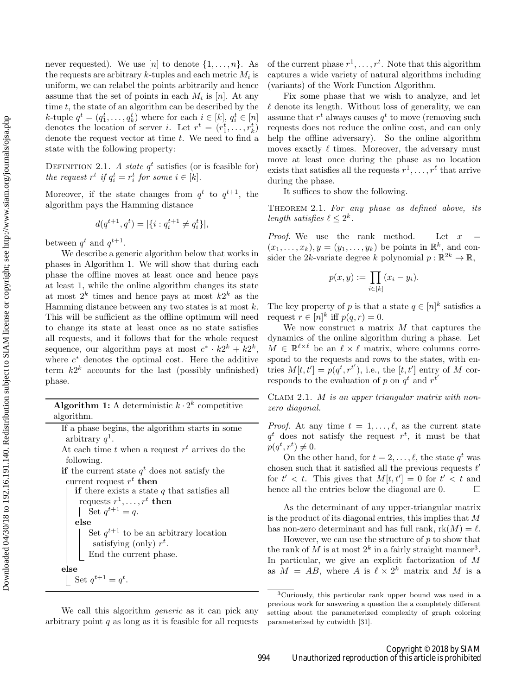never requested). We use [n] to denote  $\{1, \ldots, n\}$ . As the requests are arbitrary  $k$ -tuples and each metric  $M_i$  is uniform, we can relabel the points arbitrarily and hence assume that the set of points in each  $M_i$  is [n]. At any time  $t$ , the state of an algorithm can be described by the k-tuple  $q^t = (q_1^t, \ldots, q_k^t)$  where for each  $i \in [k], q_i^t \in [n]$ denotes the location of server *i*. Let  $r^t = (r_1^t, \ldots, r_k^t)$ denote the request vector at time  $t$ . We need to find a state with the following property:

DEFINITION 2.1. A state  $q^t$  satisfies (or is feasible for) the request  $r^t$  if  $q_i^t = r_i^t$  for some  $i \in [k]$ .

Moreover, if the state changes from  $q^t$  to  $q^{t+1}$ , the algorithm pays the Hamming distance

$$
d(q^{t+1}, q^t) = |\{i : q_i^{t+1} \neq q_i^t\}|,
$$

between  $q^t$  and  $q^{t+1}$ .

We describe a generic algorithm below that works in phases in Algorithm [1.](#page-2-0) We will show that during each phase the offline moves at least once and hence pays at least 1, while the online algorithm changes its state at most  $2^k$  times and hence pays at most  $k2^k$  as the Hamming distance between any two states is at most  $k$ . This will be sufficient as the offline optimum will need to change its state at least once as no state satisfies all requests, and it follows that for the whole request sequence, our algorithm pays at most  $c^* \cdot k2^k + k2^k$ , where  $c^*$  denotes the optimal cost. Here the additive term  $k2^k$  accounts for the last (possibly unfinished) phase.

|            |  | <b>Algorithm 1:</b> A deterministic $k \cdot 2^k$ competitive |  |
|------------|--|---------------------------------------------------------------|--|
| algorithm. |  |                                                               |  |

|                   |  | If a phase begins, the algorithm starts in some |  |  |
|-------------------|--|-------------------------------------------------|--|--|
| arbitrary $q^1$ . |  |                                                 |  |  |

At each time  $t$  when a request  $r^t$  arrives do the following.

**if** the current state  $q^t$  does not satisfy the current request  $r^t$  then

if there exists a state  $q$  that satisfies all requests  $r^1,\ldots,r^t$  then Set  $q^{t+1} = q$ . else Set  $q^{t+1}$  to be an arbitrary location satisfying (only)  $r^t$ . End the current phase. else Set  $q^{t+1} = q^t$ .

<span id="page-2-0"></span>We call this algorithm *generic* as it can pick any arbitrary point  $q$  as long as it is feasible for all requests

of the current phase  $r^1, \ldots, r^t$ . Note that this algorithm captures a wide variety of natural algorithms including (variants) of the Work Function Algorithm.

Fix some phase that we wish to analyze, and let  $\ell$  denote its length. Without loss of generality, we can assume that  $r^t$  always causes  $q^t$  to move (removing such requests does not reduce the online cost, and can only help the offline adversary). So the online algorithm moves exactly  $\ell$  times. Moreover, the adversary must move at least once during the phase as no location exists that satisfies all the requests  $r^1, \ldots, r^{\ell}$  that arrive during the phase.

It suffices to show the following.

THEOREM 2.1. For any phase as defined above, its length satisfies  $\ell \leq 2^k$ .

*Proof.* We use the rank method. Let  $x$  $(x_1, \ldots, x_k), y = (y_1, \ldots, y_k)$  be points in  $\mathbb{R}^k$ , and consider the 2k-variate degree k polynomial  $p : \mathbb{R}^{2k} \to \mathbb{R}$ ,

$$
p(x,y) := \prod_{i \in [k]} (x_i - y_i).
$$

The key property of p is that a state  $q \in [n]^k$  satisfies a request  $r \in [n]^k$  iff  $p(q, r) = 0$ .

We now construct a matrix  $M$  that captures the dynamics of the online algorithm during a phase. Let  $M \in \mathbb{R}^{\ell \times \ell}$  be an  $\ell \times \ell$  matrix, where columns correspond to the requests and rows to the states, with entries  $M[t, t'] = p(q^t, r^{t'})$ , i.e., the  $[t, t']$  entry of M corresponds to the evaluation of p on  $q^t$  and  $r^{t'}$ 

CLAIM 2.1. M is an upper triangular matrix with nonzero diagonal.

*Proof.* At any time  $t = 1, \ldots, \ell$ , as the current state  $q^t$  does not satisfy the request  $r^t$ , it must be that  $p(q^t, r^t) \neq 0.$ 

On the other hand, for  $t = 2, \ldots, \ell$ , the state  $q^t$  was chosen such that it satisfied all the previous requests  $t'$ for  $t' < t$ . This gives that  $M[t, t'] = 0$  for  $t' < t$  and hence all the entries below the diagonal are 0.  $\Box$ 

As the determinant of any upper-triangular matrix is the product of its diagonal entries, this implies that M has non-zero determinant and has full rank,  $rk(M) = \ell$ .

However, we can use the structure of  $p$  to show that the rank of M is at most  $2^k$  in a fairly straight manner<sup>[3](#page-2-1)</sup>. In particular, we give an explicit factorization of M as  $M = AB$ , where A is  $\ell \times 2^k$  matrix and M is a

<span id="page-2-1"></span><sup>3</sup>Curiously, this particular rank upper bound was used in a previous work for answering a question the a completely different setting about the parameterized complexity of graph coloring parameterized by cutwidth [\[31\]](#page-9-10).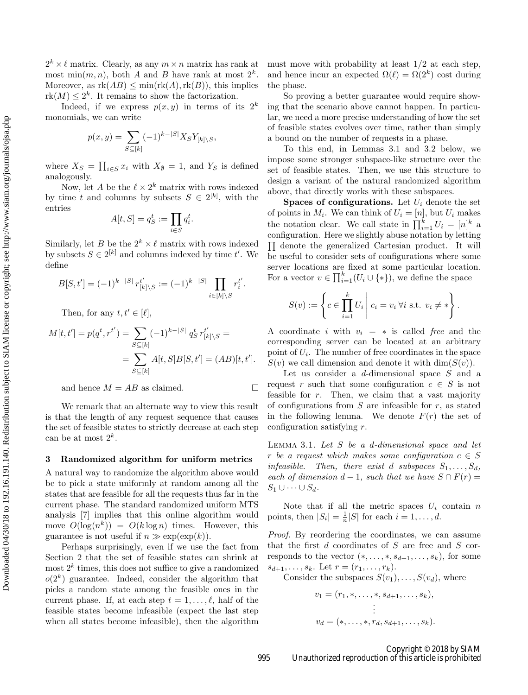$2^k \times \ell$  matrix. Clearly, as any  $m \times n$  matrix has rank at most min $(m, n)$ , both A and B have rank at most  $2^k$ . Moreover, as  $rk(AB) \leq min(rk(A), rk(B))$ , this implies  $rk(M) \leq 2^k$ . It remains to show the factorization.

Indeed, if we express  $p(x, y)$  in terms of its  $2^k$ monomials, we can write

$$
p(x,y) = \sum_{S \subseteq [k]} (-1)^{k-|S|} X_S Y_{[k] \setminus S},
$$

where  $X_S = \prod_{i \in S} x_i$  with  $X_{\emptyset} = 1$ , and  $Y_S$  is defined analogously.

Now, let A be the  $\ell \times 2^k$  matrix with rows indexed by time t and columns by subsets  $S \in 2^{[k]}$ , with the entries

$$
A[t, S] = q_S^t := \prod_{i \in S} q_i^t.
$$

Similarly, let B be the  $2^k \times \ell$  matrix with rows indexed by subsets  $S \in 2^{[k]}$  and columns indexed by time t'. We define

$$
B[S, t'] = (-1)^{k-|S|} r_{[k] \setminus S}^{t'} := (-1)^{k-|S|} \prod_{i \in [k] \setminus S} r_i^{t'}.
$$

Then, for any  $t, t' \in [\ell],$ 

$$
M[t, t'] = p(q^t, r^{t'}) = \sum_{S \subseteq [k]} (-1)^{k-|S|} q_S^t r_{[k] \setminus S}^{t'} = \sum_{S \subseteq [k]} A[t, S] B[S, t'] = (AB)[t, t'].
$$

and hence  $M = AB$  as claimed.

We remark that an alternate way to view this result is that the length of any request sequence that causes the set of feasible states to strictly decrease at each step can be at most  $2^k$ .

#### <span id="page-3-0"></span>3 Randomized algorithm for uniform metrics

A natural way to randomize the algorithm above would be to pick a state uniformly at random among all the states that are feasible for all the requests thus far in the current phase. The standard randomized uniform MTS analysis [\[7\]](#page-8-22) implies that this online algorithm would move  $O(\log(n^k)) = O(k \log n)$  times. However, this guarantee is not useful if  $n \gg \exp(\exp(k)).$ 

Perhaps surprisingly, even if we use the fact from Section [2](#page-1-5) that the set of feasible states can shrink at  $\text{most } 2^k$  times, this does not suffice to give a randomized  $o(2<sup>k</sup>)$  guarantee. Indeed, consider the algorithm that picks a random state among the feasible ones in the current phase. If, at each step  $t = 1, \ldots, \ell$ , half of the feasible states become infeasible (expect the last step when all states become infeasible), then the algorithm must move with probability at least  $1/2$  at each step, and hence incur an expected  $\Omega(\ell) = \Omega(2^k)$  cost during the phase.

So proving a better guarantee would require showing that the scenario above cannot happen. In particular, we need a more precise understanding of how the set of feasible states evolves over time, rather than simply a bound on the number of requests in a phase.

To this end, in Lemmas [3.1](#page-3-1) and [3.2](#page-4-0) below, we impose some stronger subspace-like structure over the set of feasible states. Then, we use this structure to design a variant of the natural randomized algorithm above, that directly works with these subspaces.

**Spaces of configurations.** Let  $U_i$  denote the set of points in  $M_i$ . We can think of  $U_i = [n]$ , but  $U_i$  makes the notation clear. We call state in  $\prod_{i=1}^{k} U_i = [n]^k$  a configuration. Here we slightly abuse notation by letting  $\Pi$  denote the generalized Cartesian product. It will be useful to consider sets of configurations where some server locations are fixed at some particular location. For a vector  $v \in \prod_{i=1}^k (U_i \cup \{*\})$ , we define the space

$$
S(v) := \left\{ c \in \prod_{i=1}^{k} U_i \mid c_i = v_i \,\forall i \text{ s.t. } v_i \neq * \right\}.
$$

A coordinate i with  $v_i = *$  is called free and the corresponding server can be located at an arbitrary point of  $U_i$ . The number of free coordinates in the space  $S(v)$  we call dimension and denote it with  $\dim(S(v))$ .

Let us consider a d-dimensional space S and a request r such that some configuration  $c \in S$  is not feasible for  $r$ . Then, we claim that a vast majority of configurations from  $S$  are infeasible for  $r$ , as stated in the following lemma. We denote  $F(r)$  the set of configuration satisfying r.

<span id="page-3-1"></span>LEMMA 3.1. Let  $S$  be a d-dimensional space and let r be a request which makes some configuration  $c \in S$ infeasible. Then, there exist d subspaces  $S_1, \ldots, S_d$ , each of dimension  $d-1$ , such that we have  $S \cap F(r) =$  $S_1 \cup \cdots \cup S_d$ .

Note that if all the metric spaces  $U_i$  contain n points, then  $|S_i| = \frac{1}{n}|S|$  for each  $i = 1, \ldots, d$ .

Proof. By reordering the coordinates, we can assume that the first  $d$  coordinates of  $S$  are free and  $S$  corresponds to the vector  $(*, \ldots, *, s_{d+1}, \ldots, s_k)$ , for some  $s_{d+1}, \ldots, s_k$ . Let  $r = (r_1, \ldots, r_k)$ .

Consider the subspaces  $S(v_1), \ldots, S(v_d)$ , where

$$
v_1 = (r_1, \ast, \dots, \ast, s_{d+1}, \dots, s_k),
$$
  
\n
$$
\vdots
$$
  
\n
$$
v_d = (\ast, \dots, \ast, r_d, s_{d+1}, \dots, s_k).
$$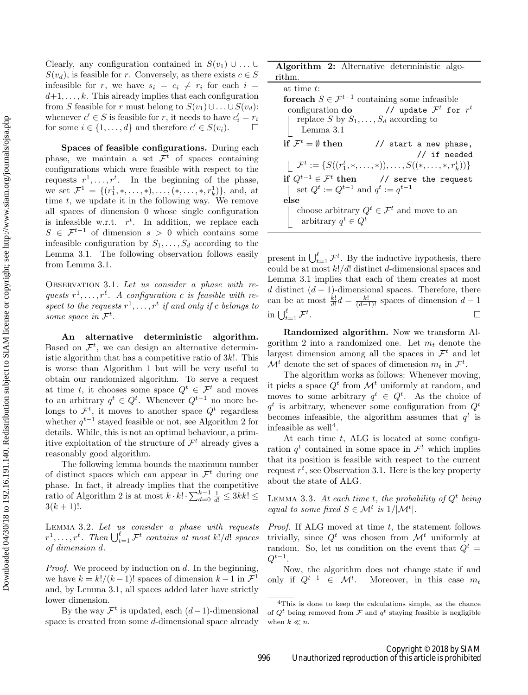Clearly, any configuration contained in  $S(v_1) \cup \ldots \cup$  $S(v_d)$ , is feasible for r. Conversely, as there exists  $c \in S$ infeasible for r, we have  $s_i = c_i \neq r_i$  for each  $i =$  $d+1, \ldots, k$ . This already implies that each configuration from S feasible for r must belong to  $S(v_1) \cup ... \cup S(v_d)$ : whenever  $c' \in S$  is feasible for r, it needs to have  $c'_i = r_i$ for some  $i \in \{1, ..., d\}$  and therefore  $c' \in S(v_i)$ .  $\Box$ 

Spaces of feasible configurations. During each phase, we maintain a set  $\mathcal{F}^t$  of spaces containing configurations which were feasible with respect to the requests  $r^1, \ldots, r^t$ . In the beginning of the phase, we set  $\mathcal{F}^1 = \{(r_1^1, \ldots, \ast), \ldots, (\ast, \ldots, \ast, r_k^1)\},\$ and, at time  $t$ , we update it in the following way. We remove all spaces of dimension 0 whose single configuration is infeasible w.r.t.  $r^t$ . In addition, we replace each  $S \in \mathcal{F}^{t-1}$  of dimension  $s > 0$  which contains some infeasible configuration by  $S_1, \ldots, S_d$  according to the Lemma [3.1.](#page-3-1) The following observation follows easily from Lemma [3.1.](#page-3-1)

<span id="page-4-3"></span>OBSERVATION 3.1. Let us consider a phase with requests  $r^1, \ldots, r^{\ell}$ . A configuration c is feasible with respect to the requests  $r^1, \ldots, r^t$  if and only if c belongs to some space in  $\mathcal{F}^t$ .

An alternative deterministic algorithm. Based on  $\mathcal{F}^t$ , we can design an alternative deterministic algorithm that has a competitive ratio of 3k!. This is worse than Algorithm [1](#page-2-0) but will be very useful to obtain our randomized algorithm. To serve a request at time t, it chooses some space  $Q^t \in \mathcal{F}^t$  and moves to an arbitrary  $q^t \in Q^t$ . Whenever  $Q^{t-1}$  no more belongs to  $\mathcal{F}^t$ , it moves to another space  $Q^t$  regardless whether  $q^{t-1}$  stayed feasible or not, see Algorithm [2](#page-4-1) for details. While, this is not an optimal behaviour, a primitive exploitation of the structure of  $\mathcal{F}^t$  already gives a reasonably good algorithm.

The following lemma bounds the maximum number of distinct spaces which can appear in  $\mathcal{F}^t$  during one phase. In fact, it already implies that the competitive ratio of Algorithm [2](#page-4-1) is at most  $k \cdot k! \cdot \sum_{d=0}^{k-1} \frac{1}{d!} \leq 3kk! \leq$  $3(k+1)!$ .

<span id="page-4-0"></span>LEMMA 3.2. Let us consider a phase with requests  $r^1, \ldots, r^\ell$ . Then  $\bigcup_{t=1}^\ell \mathcal{F}^t$  contains at most k!/d! spaces of dimension d.

*Proof.* We proceed by induction on  $d$ . In the beginning, we have  $k = k!/(k-1)!$  spaces of dimension  $k-1$  in  $\mathcal{F}^1$ and, by Lemma [3.1,](#page-3-1) all spaces added later have strictly lower dimension.

By the way  $\mathcal{F}^t$  is updated, each  $(d-1)$ -dimensional space is created from some d-dimensional space already

Algorithm 2: Alternative deterministic algorithm.

at time t: for each  $S \in \mathcal{F}^{t-1}$  containing some infeasible configuration do  $^t$  for  $r^t$ replace S by  $S_1, \ldots, S_d$  according to Lemma [3.1](#page-3-1) if  $\mathcal{F}^t = \emptyset$  then  $\frac{1}{3}$  start a new phase, // if needed  $\mathcal{F}^t := \{ S((r_1^t,*,\ldots,*)),\ldots,S((*,\ldots,*,r_k^t)) \}$ if  $Q^{t-1} \in \mathcal{F}^t$  then  $\frac{1}{2}$  serve the request set  $Q^t := Q^{t-1}$  and  $q^t := q^{t-1}$ else choose arbitrary  $Q^t \in \mathcal{F}^t$  and move to an arbitrary  $q^t \in Q^t$ 

<span id="page-4-1"></span>present in  $\bigcup_{t=1}^{\ell} \mathcal{F}^t$ . By the inductive hypothesis, there could be at most  $k!/d!$  distinct d-dimensional spaces and Lemma [3.1](#page-3-1) implies that each of them creates at most d distinct  $(d-1)$ -dimensional spaces. Therefore, there can be at most  $\frac{k!}{d!}d = \frac{k!}{(d-1)!}$  spaces of dimension  $d-1$ in  $\bigcup_{t=1}^{\ell} \mathcal{F}^t$ .

Randomized algorithm. Now we transform Al-gorithm [2](#page-4-1) into a randomized one. Let  $m_t$  denote the largest dimension among all the spaces in  $\mathcal{F}^t$  and let  $\mathcal{M}^t$  denote the set of spaces of dimension  $m_t$  in  $\mathcal{F}^t$ .

The algorithm works as follows: Whenever moving, it picks a space  $Q^t$  from  $\mathcal{M}^t$  uniformly at random, and moves to some arbitrary  $q^t \in Q^t$ . As the choice of  $q<sup>t</sup>$  is arbitrary, whenever some configuration from  $Q<sup>t</sup>$ becomes infeasible, the algorithm assumes that  $q^t$  is infeasible as well<sup>[4](#page-4-2)</sup>.

At each time  $t$ , ALG is located at some configuration  $q^t$  contained in some space in  $\mathcal{F}^t$  which implies that its position is feasible with respect to the current request  $r^t$ , see Observation [3.1.](#page-4-3) Here is the key property about the state of ALG.

<span id="page-4-4"></span>LEMMA 3.3. At each time t, the probability of  $Q^t$  being equal to some fixed  $S \in \mathcal{M}^t$  is  $1/|\mathcal{M}^t|$ .

Proof. If ALG moved at time t, the statement follows trivially, since  $Q^t$  was chosen from  $\mathcal{M}^t$  uniformly at random. So, let us condition on the event that  $Q^t =$  $Q^{t-1}.$ 

Now, the algorithm does not change state if and only if  $Q^{t-1} \in \mathcal{M}^t$ . Moreover, in this case  $m_t$ 

<span id="page-4-2"></span><sup>4</sup>This is done to keep the calculations simple, as the chance of  $Q^t$  being removed from  $\mathcal F$  and  $q^t$  staying feasible is negligible when  $k \ll n$ .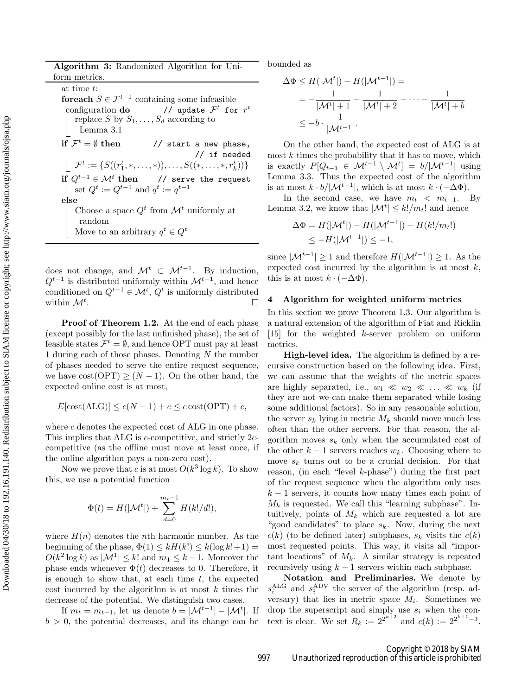Algorithm 3: Randomized Algorithm for Uniform metrics.

at time t: for each  $S \in \mathcal{F}^{t-1}$  containing some infeasible configuration do  $^t$  for  $r^t$ replace S by  $S_1, \ldots, S_d$  according to Lemma [3.1](#page-3-1) if  $\mathcal{F}^t = \emptyset$  then // start a new phase, // if needed  $\mathcal{F}^t := \{ S((r_1^t,*,\ldots,*)),\ldots,S((*,\ldots,*,r_k^t)) \}$ if  $Q^{t-1}$  ∈  $\mathcal{M}^t$  then  $1/$  serve the request set  $Q^t := Q^{t-1}$  and  $q^t := q^{t-1}$ else Choose a space  $Q^t$  from  $\mathcal{M}^t$  uniformly at random Move to an arbitrary  $q^t \in Q^t$ 

does not change, and  $\mathcal{M}^t \subset \mathcal{M}^{t-1}$ . By induction,  $Q^{t-1}$  is distributed uniformly within  $\mathcal{M}^{t-1}$ , and hence conditioned on  $Q^{t-1} \in \mathcal{M}^t$ ,  $Q^t$  is uniformly distributed within  $\mathcal{M}^t$ . . В последните последните последните последните последните последните последните последните последните последн<br>В последните последните последните последните последните последните последните последните последните последнит

Proof of Theorem [1.2.](#page-1-2) At the end of each phase (except possibly for the last unfinished phase), the set of feasible states  $\mathcal{F}^t = \emptyset$ , and hence OPT must pay at least 1 during each of those phases. Denoting  $N$  the number of phases needed to serve the entire request sequence, we have  $cost(OPT) \geq (N-1)$ . On the other hand, the expected online cost is at most,

$$
E[\text{cost}(\text{ALG})] \le c(N-1) + c \le c \cdot \text{cost}(\text{OPT}) + c,
$$

where  $c$  denotes the expected cost of  $ALG$  in one phase. This implies that ALG is c-competitive, and strictly 2ccompetitive (as the offline must move at least once, if the online algorithm pays a non-zero cost).

Now we prove that c is at most  $O(k^3 \log k)$ . To show this, we use a potential function

$$
\Phi(t) = H(|\mathcal{M}^t|) + \sum_{d=0}^{m_t - 1} H(k!/d!),
$$

where  $H(n)$  denotes the *n*th harmonic number. As the beginning of the phase,  $\Phi(1) \leq kH(k!) \leq k(\log k!+1) =$  $O(k^2 \log k)$  as  $|\mathcal{M}^1| \leq k!$  and  $m_1 \leq k-1$ . Moreover the phase ends whenever  $\Phi(t)$  decreases to 0. Therefore, it is enough to show that, at each time  $t$ , the expected cost incurred by the algorithm is at most  $k$  times the decrease of the potential. We distinguish two cases.

If  $m_t = m_{t-1}$ , let us denote  $b = |\mathcal{M}^{t-1}| - |\mathcal{M}^{t}|$ . If  $b > 0$ , the potential decreases, and its change can be bounded as

$$
\Delta \Phi \le H(|\mathcal{M}^t|) - H(|\mathcal{M}^{t-1}|) =
$$
  
= 
$$
-\frac{1}{|\mathcal{M}^t| + 1} - \frac{1}{|\mathcal{M}^t| + 2} - \dots - \frac{1}{|\mathcal{M}^t| + b}
$$
  

$$
\le -b \cdot \frac{1}{|\mathcal{M}^{t-1}|}.
$$

On the other hand, the expected cost of ALG is at most  $k$  times the probability that it has to move, which is exactly  $P[Q_{t-1} \in \mathcal{M}^{t-1} \setminus \mathcal{M}^t] = b/|\mathcal{M}^{t-1}|$  using Lemma [3.3.](#page-4-4) Thus the expected cost of the algorithm is at most  $k \cdot b / |\mathcal{M}^{t-1}|$ , which is at most  $k \cdot (-\Delta \Phi)$ .

In the second case, we have  $m_t < m_{t-1}$ . By Lemma [3.2,](#page-4-0) we know that  $|\mathcal{M}^t| \leq k!/m_t!$  and hence

$$
\Delta \Phi = H(|\mathcal{M}^t|) - H(|\mathcal{M}^{t-1}|) - H(k!/m_t!)
$$
  

$$
\leq -H(|\mathcal{M}^{t-1}|) \leq -1,
$$

since  $|\mathcal{M}^{t-1}| \geq 1$  and therefore  $H(|\mathcal{M}^{t-1}|) \geq 1$ . As the expected cost incurred by the algorithm is at most  $k$ , this is at most  $k \cdot (-\Delta \Phi)$ .

#### 4 Algorithm for weighted uniform metrics

In this section we prove Theorem [1.3.](#page-1-3) Our algorithm is a natural extension of the algorithm of Fiat and Ricklin [\[15\]](#page-8-19) for the weighted k-server problem on uniform metrics.

High-level idea. The algorithm is defined by a recursive construction based on the following idea. First, we can assume that the weights of the metric spaces are highly separated, i.e.,  $w_1 \ll w_2 \ll \ldots \ll w_k$  (if they are not we can make them separated while losing some additional factors). So in any reasonable solution, the server  $s_k$  lying in metric  $M_k$  should move much less often than the other servers. For that reason, the algorithm moves  $s_k$  only when the accumulated cost of the other  $k-1$  servers reaches  $w_k$ . Choosing where to move  $s_k$  turns out to be a crucial decision. For that reason, (in each "level k-phase") during the first part of the request sequence when the algorithm only uses  $k-1$  servers, it counts how many times each point of  $M_k$  is requested. We call this "learning subphase". Intuitively, points of  $M_k$  which are requested a lot are "good candidates" to place  $s_k$ . Now, during the next  $c(k)$  (to be defined later) subphases,  $s_k$  visits the  $c(k)$ most requested points. This way, it visits all "important locations" of  $M_k$ . A similar strategy is repeated recursively using  $k - 1$  servers within each subphase.

Notation and Preliminaries. We denote by  $s_i^{\text{ALG}}$  and  $s_i^{\text{ADV}}$  the server of the algorithm (resp. adversary) that lies in metric space  $M_i$ . Sometimes we drop the superscript and simply use  $s_i$  when the context is clear. We set  $R_k := 2^{2^{k+2}}$  and  $c(k) := 2^{2^{k+1}-3}$ .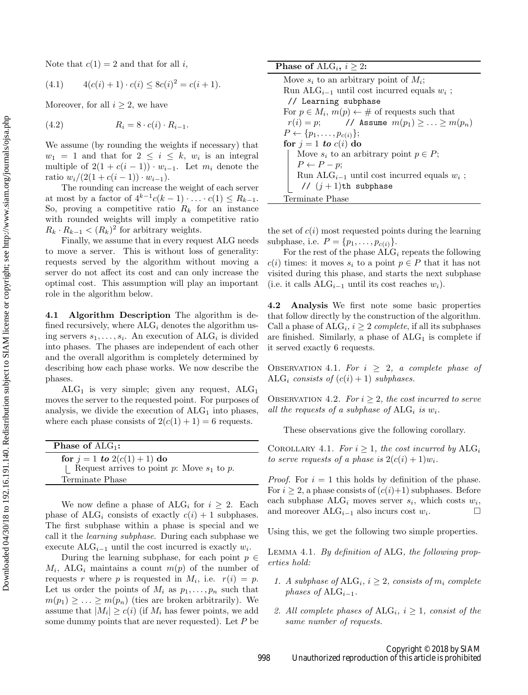Note that  $c(1) = 2$  and that for all i,

<span id="page-6-3"></span>
$$
(4.1) \t 4(c(i) + 1) \cdot c(i) \le 8c(i)^2 = c(i+1).
$$

Moreover, for all  $i \geq 2$ , we have

$$
(4.2) \t R_i = 8 \cdot c(i) \cdot R_{i-1}.
$$

We assume (by rounding the weights if necessary) that  $w_1 = 1$  and that for  $2 \leq i \leq k$ ,  $w_i$  is an integral multiple of  $2(1 + c(i - 1)) \cdot w_{i-1}$ . Let  $m_i$  denote the ratio  $w_i/(2(1+c(i-1)) \cdot w_{i-1}).$ 

The rounding can increase the weight of each server at most by a factor of  $4^{k-1}c(k-1)\cdot\ldots\cdot c(1) \leq R_{k-1}$ . So, proving a competitive ratio  $R_k$  for an instance with rounded weights will imply a competitive ratio  $R_k \cdot R_{k-1} < (R_k)^2$  for arbitrary weights.

Finally, we assume that in every request ALG needs to move a server. This is without loss of generality: requests served by the algorithm without moving a server do not affect its cost and can only increase the optimal cost. This assumption will play an important role in the algorithm below.

4.1 Algorithm Description The algorithm is defined recursively, where  $ALG_i$  denotes the algorithm using servers  $s_1, \ldots, s_i$ . An execution of ALG<sub>i</sub> is divided into phases. The phases are independent of each other and the overall algorithm is completely determined by describing how each phase works. We now describe the phases.

 $ALG<sub>1</sub>$  is very simple; given any request,  $ALG<sub>1</sub>$ moves the server to the requested point. For purposes of analysis, we divide the execution of  $ALG<sub>1</sub>$  into phases, where each phase consists of  $2(c(1) + 1) = 6$  requests.

| <b>Phase of <math>ALG_1</math>:</b>                                                                  |  |
|------------------------------------------------------------------------------------------------------|--|
| for $j = 1$ to $2(c(1) + 1)$ do<br>  Request arrives to point p: Move $s_1$ to p.<br>Terminate Phase |  |
|                                                                                                      |  |

We now define a phase of  $ALG_i$  for  $i \geq 2$ . Each phase of ALG<sub>i</sub> consists of exactly  $c(i) + 1$  subphases. The first subphase within a phase is special and we call it the learning subphase. During each subphase we execute  $ALG_{i-1}$  until the cost incurred is exactly  $w_i$ .

During the learning subphase, for each point  $p \in$  $M_i$ , ALG<sub>i</sub> maintains a count  $m(p)$  of the number of requests r where p is requested in  $M_i$ , i.e.  $r(i) = p$ . Let us order the points of  $M_i$  as  $p_1, \ldots, p_n$  such that  $m(p_1) \geq \ldots \geq m(p_n)$  (ties are broken arbitrarily). We assume that  $|M_i| \geq c(i)$  (if  $M_i$  has fewer points, we add some dummy points that are never requested). Let  $P$  be **Phase of ALG**<sub>i</sub>,  $i \geq 2$ : Move  $s_i$  to an arbitrary point of  $M_i$ ; Run AL $G_{i-1}$  until cost incurred equals  $w_i$ ; // Learning subphase For  $p \in M_i$ ,  $m(p) \leftarrow \#$  of requests such that  $r(i) = p;$  // Assume  $m(p_1) \geq \ldots \geq m(p_n)$  $P \leftarrow \{p_1, \ldots, p_{c(i)}\};$ for  $j = 1$  to  $c(i)$  do Move  $s_i$  to an arbitrary point  $p \in P$ ;  $P \leftarrow P - p$ ; Run ALG<sub>i-1</sub> until cost incurred equals  $w_i$ ; //  $(j + 1)$ th subphase Terminate Phase

the set of  $c(i)$  most requested points during the learning subphase, i.e.  $P = \{p_1, ..., p_{c(i)}\}.$ 

For the rest of the phase  $\widetilde{\text{ALG}}_i$  repeats the following  $c(i)$  times: it moves  $s_i$  to a point  $p \in P$  that it has not visited during this phase, and starts the next subphase (i.e. it calls  $ALG_{i-1}$  until its cost reaches  $w_i$ ).

4.2 Analysis We first note some basic properties that follow directly by the construction of the algorithm. Call a phase of  $ALG_i$ ,  $i \geq 2$  complete, if all its subphases are finished. Similarly, a phase of  $ALG<sub>1</sub>$  is complete if it served exactly 6 requests.

<span id="page-6-1"></span>OBSERVATION 4.1. For  $i \geq 2$ , a complete phase of ALG<sub>i</sub> consists of  $(c(i) + 1)$  subphases.

OBSERVATION 4.2. For  $i \geq 2$ , the cost incurred to serve all the requests of a subphase of  $ALG_i$  is  $w_i$ .

<span id="page-6-0"></span>These observations give the following corollary.

COROLLARY 4.1. For  $i \geq 1$ , the cost incurred by  $ALG_i$ to serve requests of a phase is  $2(c(i) + 1)w_i$ .

*Proof.* For  $i = 1$  this holds by definition of the phase. For  $i \geq 2$ , a phase consists of  $(c(i)+1)$  subphases. Before each subphase  $ALG_i$  moves server  $s_i$ , which costs  $w_i$ , and moreover  $ALG_{i-1}$  also incurs cost  $w_i$ .  $\Box$ 

<span id="page-6-2"></span>Using this, we get the following two simple properties.

Lemma 4.1. By definition of ALG, the following properties hold:

- 1. A subphase of  $ALG_i$ ,  $i \geq 2$ , consists of  $m_i$  complete phases of ALG<sub>i–1</sub>.
- 2. All complete phases of  $ALG_i$ ,  $i \geq 1$ , consist of the same number of requests.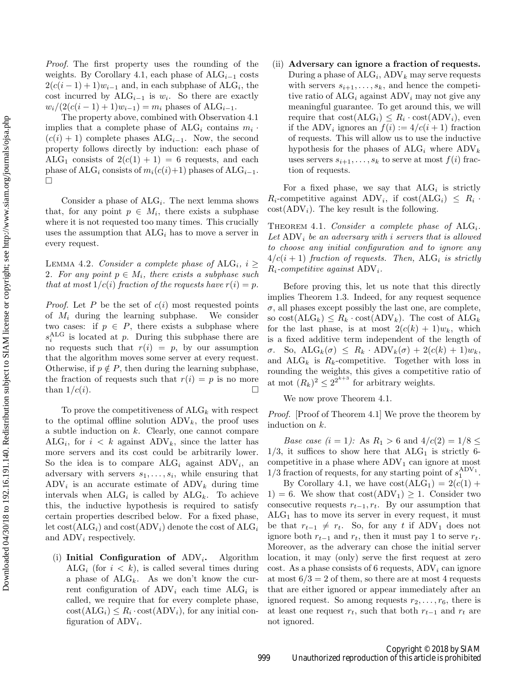Proof. The first property uses the rounding of the weights. By Corollary [4.1,](#page-6-0) each phase of  $\text{ALG}_{i-1}$  costs  $2(c(i-1)+1)w_{i-1}$  and, in each subphase of ALG<sub>i</sub>, the cost incurred by  $ALG_{i-1}$  is  $w_i$ . So there are exactly  $w_i/(2(c(i-1)+1)w_{i-1}) = m_i$  phases of ALG<sub>i-1</sub>.

The property above, combined with Observation [4.1](#page-6-1) implies that a complete phase of  $ALG_i$  contains  $m_i$ .  $(c(i) + 1)$  complete phases ALG<sub>i–1</sub>. Now, the second property follows directly by induction: each phase of ALG<sub>1</sub> consists of  $2(c(1) + 1) = 6$  requests, and each phase of ALG<sub>i</sub> consists of  $m_i(c(i)+1)$  phases of ALG<sub>i−1</sub>.  $\Box$ 

Consider a phase of  $ALG_i$ . The next lemma shows that, for any point  $p \in M_i$ , there exists a subphase where it is not requested too many times. This crucially uses the assumption that  $ALG_i$  has to move a server in every request.

<span id="page-7-1"></span>LEMMA 4.2. Consider a complete phase of  $ALG_i$ ,  $i \geq$ 2. For any point  $p \in M_i$ , there exists a subphase such that at most  $1/c(i)$  fraction of the requests have  $r(i) = p$ .

*Proof.* Let P be the set of  $c(i)$  most requested points of  $M_i$  during the learning subphase. We consider two cases: if  $p \in P$ , there exists a subphase where  $s_i^{\text{ALG}}$  is located at p. During this subphase there are no requests such that  $r(i) = p$ , by our assumption that the algorithm moves some server at every request. Otherwise, if  $p \notin P$ , then during the learning subphase, the fraction of requests such that  $r(i) = p$  is no more than  $1/c(i)$ .

To prove the competitiveness of  $ALG_k$  with respect to the optimal offline solution  $\text{ADV}_k$ , the proof uses a subtle induction on  $k$ . Clearly, one cannot compare ALG<sub>i</sub>, for  $i < k$  against ADV<sub>k</sub>, since the latter has more servers and its cost could be arbitrarily lower. So the idea is to compare  $ALG_i$  against  $ADV_i$ , and adversary with servers  $s_1, \ldots, s_i$ , while ensuring that  $\text{ADV}_i$  is an accurate estimate of  $\text{ADV}_k$  during time intervals when  $ALG_i$  is called by  $ALG_k$ . To achieve this, the inductive hypothesis is required to satisfy certain properties described below. For a fixed phase, let  $cost(ALG_i)$  and  $cost(ADV_i)$  denote the cost of  $ALG_i$ and  $\text{ADV}_i$  respectively.

(i) Initial Configuration of  $\text{ADV}_i$ . Algorithm ALG<sub>i</sub> (for  $i < k$ ), is called several times during a phase of  $ALG_k$ . As we don't know the current configuration of  $\text{ADV}_i$  each time  $\text{ALG}_i$  is called, we require that for every complete phase,  $\text{cost}(\text{ALG}_i) \leq R_i \cdot \text{cost}(\text{ADV}_i)$ , for any initial configuration of  $\text{ADV}_i$ .

(ii) Adversary can ignore a fraction of requests. During a phase of  $ALG_i$ ,  $ADV_k$  may serve requests with servers  $s_{i+1}, \ldots, s_k$ , and hence the competitive ratio of  $ALG_i$  against  $ADV_i$  may not give any meaningful guarantee. To get around this, we will require that  $cost(ALG_i) \leq R_i \cdot cost(ADV_i)$ , even if the ADV<sub>i</sub> ignores an  $f(i) := 4/c(i + 1)$  fraction of requests. This will allow us to use the inductive hypothesis for the phases of  $ALG_i$  where  $ADV_k$ uses servers  $s_{i+1}, \ldots, s_k$  to serve at most  $f(i)$  fraction of requests.

For a fixed phase, we say that  $ALG_i$  is strictly  $R_i$ -competitive against ADV<sub>i</sub>, if  $cost(ALG_i) \leq R_i$ .  $cost(ADV<sub>i</sub>)$ . The key result is the following.

<span id="page-7-0"></span>THEOREM 4.1. Consider a complete phase of  $ALG_i$ . Let  $\text{ADV}_i$  be an adversary with i servers that is allowed to choose any initial configuration and to ignore any  $4/c(i + 1)$  fraction of requests. Then,  $ALG_i$  is strictly  $R_i$ -competitive against  $\text{ADV}_i$ .

Before proving this, let us note that this directly implies Theorem [1.3.](#page-1-3) Indeed, for any request sequence  $\sigma$ , all phases except possibly the last one, are complete, so  $\text{cost}(\text{ALG}_k) \leq R_k \cdot \text{cost}(\text{ADV}_k)$ . The cost of  $\text{ALG}_k$ for the last phase, is at most  $2(c(k) + 1)w_k$ , which is a fixed additive term independent of the length of σ. So, ALG<sub>k</sub>(σ)  $\leq R_k \cdot \text{ADV}_k(\sigma) + 2(c(k) + 1)w_k$ , and  $ALG_k$  is  $R_k$ -competitive. Together with loss in rounding the weights, this gives a competitive ratio of at mot  $(R_k)^2 \leq 2^{2^{k+3}}$  for arbitrary weights.

We now prove Theorem [4.1.](#page-7-0)

Proof. [Proof of Theorem [4.1\]](#page-7-0) We prove the theorem by induction on k.

*Base case (i = 1)*: As  $R_1 > 6$  and  $4/c(2) = 1/8 \le$  $1/3$ , it suffices to show here that  $ALG_1$  is strictly 6competitive in a phase where  $\text{ADV}_1$  can ignore at most  $1/3$  fraction of requests, for any starting point of  $s_1^{\text{ADV}_1}$ .

By Corollary [4.1,](#page-6-0) we have  $cost(ALG_1) = 2(c(1) +$ 1) = 6. We show that  $cost(ADV_1) \geq 1$ . Consider two consecutive requests  $r_{t-1}, r_t$ . By our assumption that  $ALG<sub>1</sub>$  has to move its server in every request, it must be that  $r_{t-1} \neq r_t$ . So, for any t if ADV<sub>1</sub> does not ignore both  $r_{t-1}$  and  $r_t$ , then it must pay 1 to serve  $r_t$ . Moreover, as the adverary can chose the initial server location, it may (only) serve the first request at zero cost. As a phase consists of 6 requests,  $\text{ADV}_i$  can ignore at most  $6/3 = 2$  of them, so there are at most 4 requests that are either ignored or appear immediately after an ignored request. So among requests  $r_2, \ldots, r_6$ , there is at least one request  $r_t$ , such that both  $r_{t-1}$  and  $r_t$  are not ignored.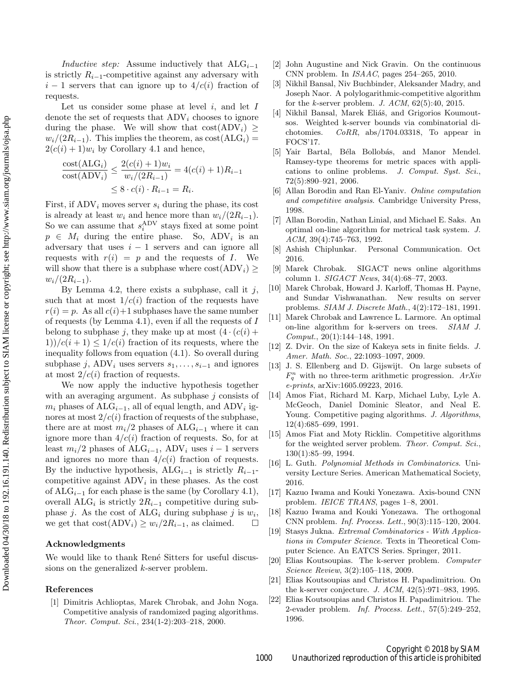Inductive step: Assume inductively that  $\text{ALG}_{i-1}$ is strictly  $R_{i-1}$ -competitive against any adversary with  $i-1$  servers that can ignore up to  $4/c(i)$  fraction of requests.

Let us consider some phase at level  $i$ , and let  $I$ denote the set of requests that  $\text{ADV}_i$  chooses to ignore during the phase. We will show that  $cost(ADV_i)$  $w_i/(2R_{i-1})$ . This implies the theorem, as  $\text{cost}(\text{ALG}_i)$  =  $2(c(i) + 1)w_i$  by Corollary [4.1](#page-6-0) and hence,

$$
\frac{\text{cost}(ALG_i)}{\text{cost}(ADV_i)} \le \frac{2(c(i) + 1)w_i}{w_i/(2R_{i-1})} = 4(c(i) + 1)R_{i-1}
$$

$$
\le 8 \cdot c(i) \cdot R_{i-1} = R_i.
$$

First, if  $\text{ADV}_i$  moves server  $s_i$  during the phase, its cost is already at least  $w_i$  and hence more than  $w_i/(2R_{i-1})$ . So we can assume that  $s_i^{\text{ADV}}$  stays fixed at some point  $p \in M_i$  during the entire phase. So, ADV<sub>i</sub> is an adversary that uses  $i - 1$  servers and can ignore all requests with  $r(i) = p$  and the requests of I. We will show that there is a subphase where  $cost(ADV_i) \ge$  $w_i/(2R_{i-1}).$ 

By Lemma [4.2,](#page-7-1) there exists a subphase, call it  $j$ , such that at most  $1/c(i)$  fraction of the requests have  $r(i) = p$ . As all  $c(i)+1$  subphases have the same number of requests (by Lemma [4.1\)](#page-6-2), even if all the requests of I belong to subphase j, they make up at most  $(4 \cdot (c(i) +$  $1)$ / $c(i+1) \leq 1/c(i)$  fraction of its requests, where the inequality follows from equation [\(4.1\)](#page-6-3). So overall during subphase j, ADV<sub>i</sub> uses servers  $s_1, \ldots, s_{i-1}$  and ignores at most  $2/c(i)$  fraction of requests.

We now apply the inductive hypothesis together with an averaging argument. As subphase  $j$  consists of  $m_i$  phases of ALG<sub>i−1</sub>, all of equal length, and ADV<sub>i</sub> ignores at most  $2/c(i)$  fraction of requests of the subphase, there are at most  $m_i/2$  phases of ALG<sub>i–1</sub> where it can ignore more than  $4/c(i)$  fraction of requests. So, for at least  $m_i/2$  phases of ALG<sub>i−1</sub>, ADV<sub>i</sub> uses  $i-1$  servers and ignores no more than  $4/c(i)$  fraction of requests. By the inductive hypothesis, ALG<sub>i−1</sub> is strictly  $R_{i-1}$ competitive against  $\text{ADV}_i$  in these phases. As the cost of  $ALG_{i-1}$  for each phase is the same (by Corollary [4.1\)](#page-6-0), overall ALG<sub>i</sub> is strictly  $2R_{i-1}$  competitive during subphase *j*. As the cost of  $ALG_i$  during subphase *j* is  $w_i$ , we get that  $cost(ADV<sub>i</sub>) ≥ w<sub>i</sub>/2R<sub>i-1</sub>$ , as claimed.  $□$ 

#### Acknowledgments

We would like to thank René Sitters for useful discussions on the generalized k-server problem.

#### <span id="page-8-8"></span>References

[1] Dimitris Achlioptas, Marek Chrobak, and John Noga. Competitive analysis of randomized paging algorithms. Theor. Comput. Sci., 234(1-2):203–218, 2000.

- <span id="page-8-9"></span>[2] John Augustine and Nick Gravin. On the continuous CNN problem. In ISAAC, pages 254–265, 2010.
- <span id="page-8-3"></span>[3] Nikhil Bansal, Niv Buchbinder, Aleksander Madry, and Joseph Naor. A polylogarithmic-competitive algorithm for the k-server problem. J.  $ACM$ ,  $62(5):40$ ,  $2015$ .
- <span id="page-8-20"></span><span id="page-8-13"></span>[4] Nikhil Bansal, Marek Eliáš, and Grigorios Koumoutsos. Weighted k-server bounds via combinatorial dichotomies. CoRR, abs/1704.03318, To appear in FOCS'17.
- <span id="page-8-18"></span>[5] Yair Bartal, Béla Bollobás, and Manor Mendel. Ramsey-type theorems for metric spaces with applications to online problems. J. Comput. Syst. Sci., 72(5):890–921, 2006.
- <span id="page-8-0"></span>[6] Allan Borodin and Ran El-Yaniv. Online computation and competitive analysis. Cambridge University Press, 1998.
- <span id="page-8-22"></span>[7] Allan Borodin, Nathan Linial, and Michael E. Saks. An optimal on-line algorithm for metrical task system. J. ACM, 39(4):745–763, 1992.
- <span id="page-8-21"></span>[8] Ashish Chiplunkar. Personal Communication. Oct 2016.
- <span id="page-8-10"></span>[9] Marek Chrobak. SIGACT news online algorithms column 1. SIGACT News, 34(4):68–77, 2003.
- <span id="page-8-4"></span>[10] Marek Chrobak, Howard J. Karloff, Thomas H. Payne, and Sundar Vishwanathan. New results on server problems. SIAM J. Discrete Math., 4(2):172–181, 1991.
- <span id="page-8-5"></span>[11] Marek Chrobak and Lawrence L. Larmore. An optimal on-line algorithm for k-servers on trees. SIAM J. Comput., 20(1):144–148, 1991.
- <span id="page-8-16"></span>[12] Z. Dvir. On the size of Kakeya sets in finite fields. J. Amer. Math. Soc., 22:1093–1097, 2009.
- <span id="page-8-17"></span>[13] J. S. Ellenberg and D. Gijswijt. On large subsets of  $F_q^n$  with no three-term arithmetic progression.  $ArXiv$ e-prints, arXiv:1605.09223, 2016.
- <span id="page-8-7"></span>[14] Amos Fiat, Richard M. Karp, Michael Luby, Lyle A. McGeoch, Daniel Dominic Sleator, and Neal E. Young. Competitive paging algorithms. J. Algorithms, 12(4):685–699, 1991.
- <span id="page-8-19"></span>[15] Amos Fiat and Moty Ricklin. Competitive algorithms for the weighted server problem. Theor. Comput. Sci., 130(1):85–99, 1994.
- <span id="page-8-15"></span><span id="page-8-12"></span>[16] L. Guth. Polynomial Methods in Combinatorics. University Lecture Series. American Mathematical Society, 2016.
- <span id="page-8-11"></span>[17] Kazuo Iwama and Kouki Yonezawa. Axis-bound CNN problem. IEICE TRANS, pages 1–8, 2001.
- [18] Kazuo Iwama and Kouki Yonezawa. The orthogonal CNN problem. Inf. Process. Lett., 90(3):115–120, 2004.
- <span id="page-8-14"></span><span id="page-8-1"></span>[19] Stasys Jukna. Extremal Combinatorics - With Applications in Computer Science. Texts in Theoretical Computer Science. An EATCS Series. Springer, 2011.
- <span id="page-8-2"></span>[20] Elias Koutsoupias. The k-server problem. Computer Science Review, 3(2):105–118, 2009.
- <span id="page-8-6"></span>[21] Elias Koutsoupias and Christos H. Papadimitriou. On the k-server conjecture. J. ACM, 42(5):971–983, 1995.
- [22] Elias Koutsoupias and Christos H. Papadimitriou. The 2-evader problem. Inf. Process. Lett., 57(5):249–252, 1996.